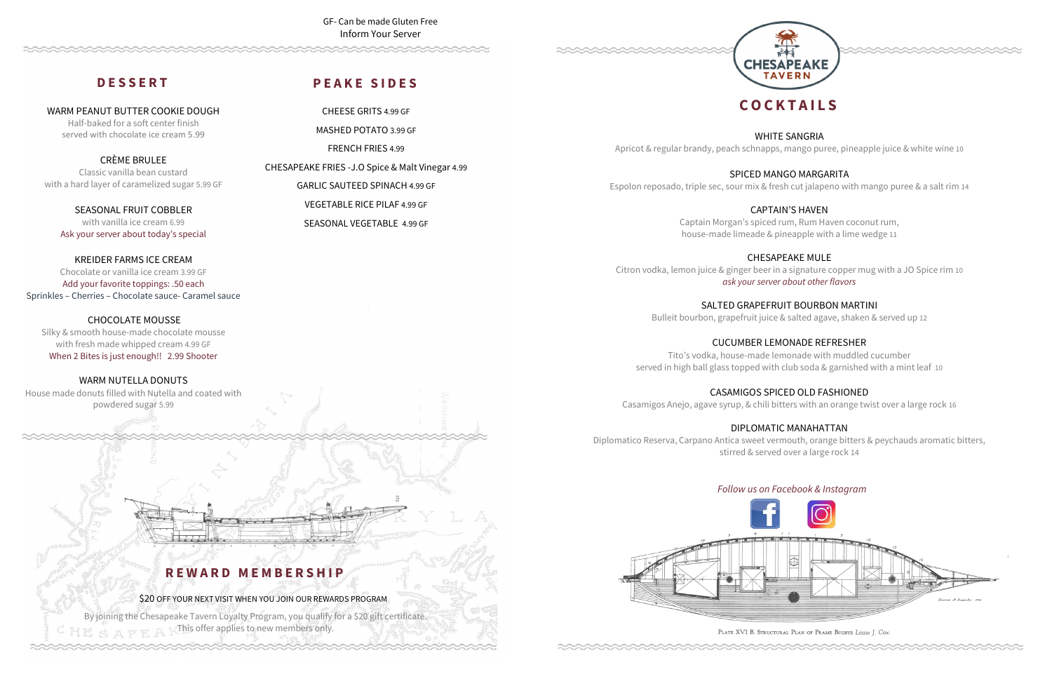# **C O C K T A I L S**

WHITE SANGRIA Apricot & regular brandy, peach schnapps, mango puree, pineapple juice & white wine 10

SPICED MANGO MARGARITA Espolon reposado, triple sec, sour mix & fresh cut jalapeno with mango puree & a salt rim 14

> CAPTAIN'S HAVEN Captain Morgan's spiced rum, Rum Haven coconut rum, house-made limeade & pineapple with a lime wedge 11

CHESAPEAKE MULE Citron vodka, lemon juice & ginger beer in a signature copper mug with a JO Spice rim 10 *ask your server about other flavors*

> SALTED GRAPEFRUIT BOURBON MARTINI Bulleit bourbon, grapefruit juice & salted agave, shaken & served up 12

By joining the Chesapeake Tavern Loyalty Program, you qualify for a \$20 gift certificate.  $E \leq A \geq F \triangle Y$  This offer applies to new members only.



CUCUMBER LEMONADE REFRESHER Tito's vodka, house-made lemonade with muddled cucumber served in high ball glass topped with club soda & garnished with a mint leaf 10

CASAMIGOS SPICED OLD FASHIONED Casamigos Anejo, agave syrup, & chili bitters with an orange twist over a large rock 16

# DIPLOMATIC MANAHATTAN

Diplomatico Reserva, Carpano Antica sweet vermouth, orange bitters & peychauds aromatic bitters, stirred & served over a large rock 14



PLATE XVI B. STRUCTURAL PLAN OF FRAME BUGEYE Lizzie J. Cox.

# *Follow us on Facebook & Instagram*

**R E W A R D M E M B E R S H I P**

\$20 OFF YOUR NEXT VISIT WHEN YOU JOIN OUR REWARDS PROGRAM

# **D E S S E R T**

WARM PEANUT BUTTER COOKIE DOUGH Half-baked for a soft center finish served with chocolate ice cream 5.99

CRÈME BRULEE Classic vanilla bean custard with a hard layer of caramelized sugar 5.99 GF

SEASONAL FRUIT COBBLER with vanilla ice cream 6.99 Ask your server about today's special

KREIDER FARMS ICE CREAM Chocolate or vanilla ice cream 3.99 GF Add your favorite toppings: .50 each

Sprinkles – Cherries – Chocolate sauce- Caramel sauce

# CHOCOLATE MOUSSE

Silky & smooth house-made chocolate mousse with fresh made whipped cream 4.99 GF When 2 Bites is just enough!! 2.99 Shooter

WARM NUTELLA DONUTS

House made donuts filled with Nutella and coated with powdered sugar 5.99

# **P E A K E S I D E S**

CHEESE GRITS 4.99 GF MASHED POTATO 3.99 GF FRENCH FRIES 4.99

CHESAPEAKE FRIES -J.O Spice & Malt Vinegar 4.99 GARLIC SAUTEED SPINACH 4.99 GF

> VEGETABLE RICE PILAF 4.99 GF SEASONAL VEGETABLE 4.99 GF